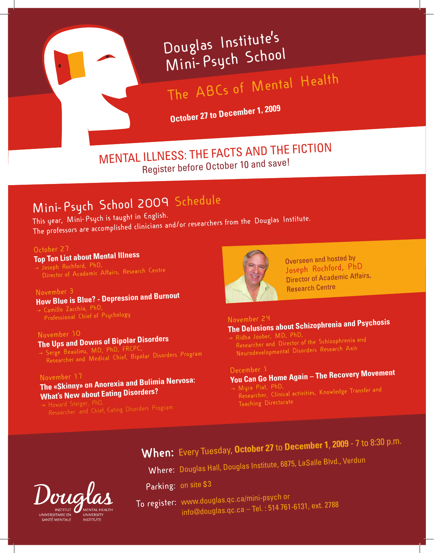# **Douglas institute's mini-psych Schoo<sup>l</sup>**

# **The ABcs of mental health**

**October 27 to December 1, 2009**

MENTAL ILLNESS: THE FACTS AND THE FICTION Register before October 10 and save!

# **mini-psych School 2009 Schedule**

## **This year, mini-psych is taught in English.**

**The professors are accomplished clinicians and/or researchers from the Douglas institute.** 

#### **october 27**

**Top Ten List about Mental Illness Joseph Rochford, phD, Director of Academic Affairs, Research centre**

#### **november 3 How Blue is Blue? - Depression and Burnout**

 **camillo Zacchia, phD, professional chief of psychology**

#### **november 10**

### **The Ups and Downs of Bipolar Disorders**

 **Serge Beaulieu, mD, phD, FRcpc, Researcher and medical chief, Bipolar Disorders program**

#### **november 17**

### **The «Skinny» on Anorexia and Bulimia nervosa: What's New about Eating Disorders?**

 $\rightarrow$  Howard Steiger, PhD,



Overseen and hosted by **Joseph Rochford, phD** Director of Academic Affairs, Research Centre

#### **november 24 The Delusions about Schizophrenia and Psychosis**

**Ridha Joober, mD, phD,** 

**Researcher and Director of the Schizophrenia an<sup>d</sup> neurodevelopmental Disorders Research Axis**

#### **December 1**

# **You can go Home Again – The Recovery Movement**

→ Myra Piat, PhD, **myra piat, phD, Researcher, clinical activities, Knowledge Transfer and Teaching Directorate**

# **When:** Every Tuesday, **October 27** to **December 1**, **<sup>2009</sup>** - 7 to 8:30 p.m.

**Where:** Douglas Hall, Douglas Institute, 6875, LaSalle Blvd., Verdun

Parking: on site \$3

 **To register:** www.douglas.qc.ca/mini-psych or info@douglas.qc.ca – Tel. : 514 761-6131, ext. 2788